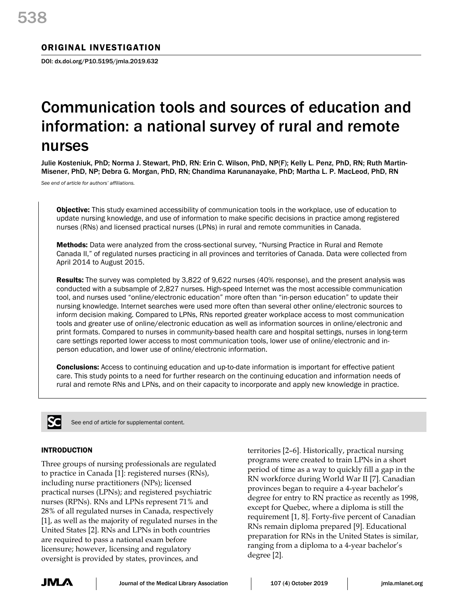# ORIGINAL INVESTIGATION

DOI: dx.doi.org/P10.5195/jmla.2019.632

# Communication tools and sources of education and information: a national survey of rural and remote nurses

Julie Kosteniuk, PhD; Norma J. Stewart, PhD, RN: Erin C. Wilson, PhD, NP(F); Kelly L. Penz, PhD, RN; Ruth Martin-Misener, PhD, NP; Debra G. Morgan, PhD, RN; Chandima Karunanayake, PhD; Martha L. P. MacLeod, PhD, RN

*See end of article for authors' affiliations.*

**Objective:** This study examined accessibility of communication tools in the workplace, use of education to update nursing knowledge, and use of information to make specific decisions in practice among registered nurses (RNs) and licensed practical nurses (LPNs) in rural and remote communities in Canada.

Methods: Data were analyzed from the cross-sectional survey, "Nursing Practice in Rural and Remote Canada II," of regulated nurses practicing in all provinces and territories of Canada. Data were collected from April 2014 to August 2015.

Results: The survey was completed by 3,822 of 9,622 nurses (40% response), and the present analysis was conducted with a subsample of 2,827 nurses. High-speed Internet was the most accessible communication tool, and nurses used "online/electronic education" more often than "in-person education" to update their nursing knowledge. Internet searches were used more often than several other online/electronic sources to inform decision making. Compared to LPNs, RNs reported greater workplace access to most communication tools and greater use of online/electronic education as well as information sources in online/electronic and print formats. Compared to nurses in community-based health care and hospital settings, nurses in long-term care settings reported lower access to most communication tools, lower use of online/electronic and inperson education, and lower use of online/electronic information.

**Conclusions:** Access to continuing education and up-to-date information is important for effective patient care. This study points to a need for further research on the continuing education and information needs of rural and remote RNs and LPNs, and on their capacity to incorporate and apply new knowledge in practice.



See end of article for supplemental content.

## INTRODUCTION

Three groups of nursing professionals are regulated to practice in Canada [1]: registered nurses (RNs), including nurse practitioners (NPs); licensed practical nurses (LPNs); and registered psychiatric nurses (RPNs). RNs and LPNs represent 71% and 28% of all regulated nurses in Canada, respectively [1], as well as the majority of regulated nurses in the United States [2]. RNs and LPNs in both countries are required to pass a national exam before licensure; however, licensing and regulatory oversight is provided by states, provinces, and

territories [2–6]. Historically, practical nursing programs were created to train LPNs in a short period of time as a way to quickly fill a gap in the RN workforce during World War II [7]. Canadian provinces began to require a 4-year bachelor's degree for entry to RN practice as recently as 1998, except for Quebec, where a diploma is still the requirement [1, 8]. Forty-five percent of Canadian RNs remain diploma prepared [9]. Educational preparation for RNs in the United States is similar, ranging from a diploma to a 4-year bachelor's degree [2].

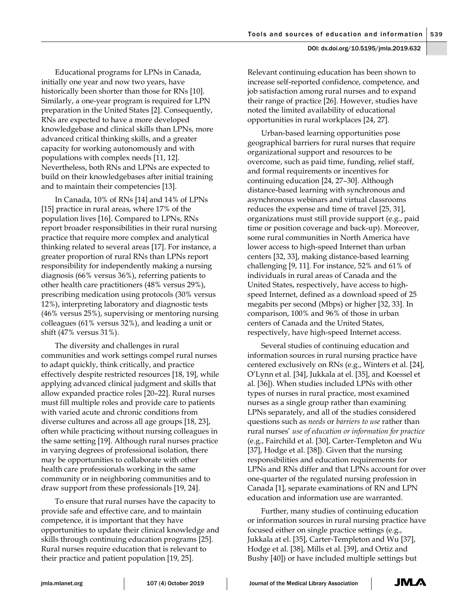Educational programs for LPNs in Canada, initially one year and now two years, have historically been shorter than those for RNs [10]. Similarly, a one-year program is required for LPN preparation in the United States [2]. Consequently, RNs are expected to have a more developed knowledgebase and clinical skills than LPNs, more advanced critical thinking skills, and a greater capacity for working autonomously and with populations with complex needs [11, 12]. Nevertheless, both RNs and LPNs are expected to build on their knowledgebases after initial training and to maintain their competencies [13].

In Canada, 10% of RNs [14] and 14% of LPNs [15] practice in rural areas, where 17% of the population lives [16]. Compared to LPNs, RNs report broader responsibilities in their rural nursing practice that require more complex and analytical thinking related to several areas [17]. For instance, a greater proportion of rural RNs than LPNs report responsibility for independently making a nursing diagnosis (66% versus 36%), referring patients to other health care practitioners (48% versus 29%), prescribing medication using protocols (30% versus 12%), interpreting laboratory and diagnostic tests (46% versus 25%), supervising or mentoring nursing colleagues (61% versus 32%), and leading a unit or shift (47% versus 31%).

The diversity and challenges in rural communities and work settings compel rural nurses to adapt quickly, think critically, and practice effectively despite restricted resources [18, 19], while applying advanced clinical judgment and skills that allow expanded practice roles [20–22]. Rural nurses must fill multiple roles and provide care to patients with varied acute and chronic conditions from diverse cultures and across all age groups [18, 23], often while practicing without nursing colleagues in the same setting [19]. Although rural nurses practice in varying degrees of professional isolation, there may be opportunities to collaborate with other health care professionals working in the same community or in neighboring communities and to draw support from these professionals [19, 24].

To ensure that rural nurses have the capacity to provide safe and effective care, and to maintain competence, it is important that they have opportunities to update their clinical knowledge and skills through continuing education programs [25]. Rural nurses require education that is relevant to their practice and patient population [19, 25].

Relevant continuing education has been shown to increase self-reported confidence, competence, and job satisfaction among rural nurses and to expand their range of practice [26]. However, studies have noted the limited availability of educational opportunities in rural workplaces [24, 27].

Urban-based learning opportunities pose geographical barriers for rural nurses that require organizational support and resources to be overcome, such as paid time, funding, relief staff, and formal requirements or incentives for continuing education [24, 27–30]. Although distance-based learning with synchronous and asynchronous webinars and virtual classrooms reduces the expense and time of travel [25, 31], organizations must still provide support (e.g., paid time or position coverage and back-up). Moreover, some rural communities in North America have lower access to high-speed Internet than urban centers [32, 33], making distance-based learning challenging [9, 11]. For instance, 52% and 61% of individuals in rural areas of Canada and the United States, respectively, have access to highspeed Internet, defined as a download speed of 25 megabits per second (Mbps) or higher [32, 33]. In comparison, 100% and 96% of those in urban centers of Canada and the United States, respectively, have high-speed Internet access.

Several studies of continuing education and information sources in rural nursing practice have centered exclusively on RNs (e.g., Winters et al. [24], O'Lynn et al. [34], Jukkala at el. [35], and Koessel et al. [36]). When studies included LPNs with other types of nurses in rural practice, most examined nurses as a single group rather than examining LPNs separately, and all of the studies considered questions such as *needs* or *barriers to use* rather than rural nurses' *use of education or information for practice* (e.g., Fairchild et al. [30], Carter-Templeton and Wu [37], Hodge et al. [38]). Given that the nursing responsibilities and education requirements for LPNs and RNs differ and that LPNs account for over one-quarter of the regulated nursing profession in Canada [1], separate examinations of RN and LPN education and information use are warranted.

Further, many studies of continuing education or information sources in rural nursing practice have focused either on single practice settings (e.g., Jukkala at el. [35], Carter-Templeton and Wu [37], Hodge et al. [38], Mills et al. [39], and Ortiz and Bushy [40]) or have included multiple settings but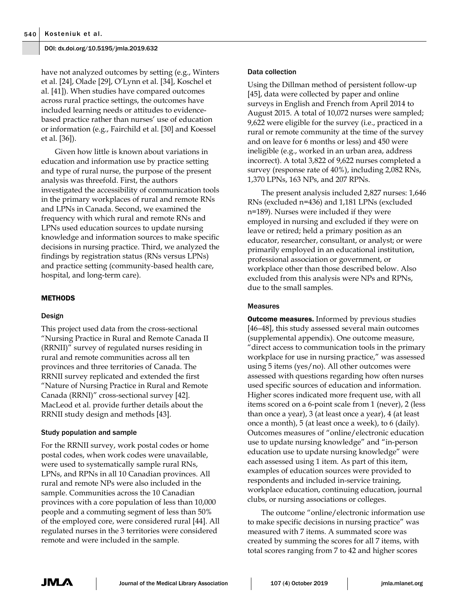have not analyzed outcomes by setting (e.g., Winters et al. [24], Olade [29], O'Lynn et al. [34], Koschel et al. [41]). When studies have compared outcomes across rural practice settings, the outcomes have included learning needs or attitudes to evidencebased practice rather than nurses' use of education or information (e.g., Fairchild et al. [30] and Koessel et al. [36]).

Given how little is known about variations in education and information use by practice setting and type of rural nurse, the purpose of the present analysis was threefold. First, the authors investigated the accessibility of communication tools in the primary workplaces of rural and remote RNs and LPNs in Canada. Second, we examined the frequency with which rural and remote RNs and LPNs used education sources to update nursing knowledge and information sources to make specific decisions in nursing practice. Third, we analyzed the findings by registration status (RNs versus LPNs) and practice setting (community-based health care, hospital, and long-term care).

## METHODS

## Design

This project used data from the cross-sectional "Nursing Practice in Rural and Remote Canada II (RRNII)" survey of regulated nurses residing in rural and remote communities across all ten provinces and three territories of Canada. The RRNII survey replicated and extended the first "Nature of Nursing Practice in Rural and Remote Canada (RRNI)" cross-sectional survey [42]. MacLeod et al. provide further details about the RRNII study design and methods [43].

## Study population and sample

For the RRNII survey, work postal codes or home postal codes, when work codes were unavailable, were used to systematically sample rural RNs, LPNs, and RPNs in all 10 Canadian provinces. All rural and remote NPs were also included in the sample. Communities across the 10 Canadian provinces with a core population of less than 10,000 people and a commuting segment of less than 50% of the employed core, were considered rural [44]. All regulated nurses in the 3 territories were considered remote and were included in the sample.

#### Data collection

Using the Dillman method of persistent follow-up [45], data were collected by paper and online surveys in English and French from April 2014 to August 2015. A total of 10,072 nurses were sampled; 9,622 were eligible for the survey (i.e., practiced in a rural or remote community at the time of the survey and on leave for 6 months or less) and 450 were ineligible (e.g., worked in an urban area, address incorrect). A total 3,822 of 9,622 nurses completed a survey (response rate of 40%), including 2,082 RNs, 1,370 LPNs, 163 NPs, and 207 RPNs.

The present analysis included 2,827 nurses: 1,646 RNs (excluded n=436) and 1,181 LPNs (excluded n=189). Nurses were included if they were employed in nursing and excluded if they were on leave or retired; held a primary position as an educator, researcher, consultant, or analyst; or were primarily employed in an educational institution, professional association or government, or workplace other than those described below. Also excluded from this analysis were NPs and RPNs, due to the small samples.

#### Measures

**Outcome measures.** Informed by previous studies [46–48], this study assessed several main outcomes (supplemental appendix). One outcome measure, "direct access to communication tools in the primary workplace for use in nursing practice," was assessed using 5 items (yes/no). All other outcomes were assessed with questions regarding how often nurses used specific sources of education and information. Higher scores indicated more frequent use, with all items scored on a 6-point scale from 1 (never), 2 (less than once a year), 3 (at least once a year), 4 (at least once a month), 5 (at least once a week), to 6 (daily). Outcomes measures of "online/electronic education use to update nursing knowledge" and "in-person education use to update nursing knowledge" were each assessed using 1 item. As part of this item, examples of education sources were provided to respondents and included in-service training, workplace education, continuing education, journal clubs, or nursing associations or colleges.

The outcome "online/electronic information use to make specific decisions in nursing practice" was measured with 7 items. A summated score was created by summing the scores for all 7 items, with total scores ranging from 7 to 42 and higher scores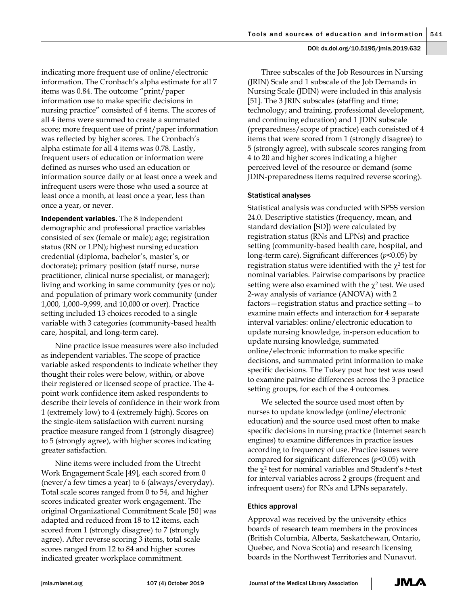indicating more frequent use of online/electronic information. The Cronbach's alpha estimate for all 7 items was 0.84. The outcome "print/paper information use to make specific decisions in nursing practice" consisted of 4 items. The scores of all 4 items were summed to create a summated score; more frequent use of print/paper information was reflected by higher scores. The Cronbach's alpha estimate for all 4 items was 0.78. Lastly, frequent users of education or information were defined as nurses who used an education or information source daily or at least once a week and infrequent users were those who used a source at least once a month, at least once a year, less than once a year, or never.

Independent variables. The 8 independent demographic and professional practice variables consisted of sex (female or male); age; registration status (RN or LPN); highest nursing education credential (diploma, bachelor's, master's, or doctorate); primary position (staff nurse, nurse practitioner, clinical nurse specialist, or manager); living and working in same community (yes or no); and population of primary work community (under 1,000, 1,000–9,999, and 10,000 or over). Practice setting included 13 choices recoded to a single variable with 3 categories (community-based health care, hospital, and long-term care)*.*

Nine practice issue measures were also included as independent variables. The scope of practice variable asked respondents to indicate whether they thought their roles were below, within, or above their registered or licensed scope of practice. The 4 point work confidence item asked respondents to describe their levels of confidence in their work from 1 (extremely low) to 4 (extremely high). Scores on the single-item satisfaction with current nursing practice measure ranged from 1 (strongly disagree) to 5 (strongly agree), with higher scores indicating greater satisfaction.

Nine items were included from the Utrecht Work Engagement Scale [49], each scored from 0 (never/a few times a year) to 6 (always/everyday). Total scale scores ranged from 0 to 54, and higher scores indicated greater work engagement. The original Organizational Commitment Scale [50] was adapted and reduced from 18 to 12 items, each scored from 1 (strongly disagree) to 7 (strongly agree). After reverse scoring 3 items, total scale scores ranged from 12 to 84 and higher scores indicated greater workplace commitment.

Three subscales of the Job Resources in Nursing (JRIN) Scale and 1 subscale of the Job Demands in Nursing Scale (JDIN) were included in this analysis [51]. The 3 JRIN subscales (staffing and time; technology; and training, professional development, and continuing education) and 1 JDIN subscale (preparedness/scope of practice) each consisted of 4 items that were scored from 1 (strongly disagree) to 5 (strongly agree), with subscale scores ranging from 4 to 20 and higher scores indicating a higher perceived level of the resource or demand (some JDIN-preparedness items required reverse scoring).

## Statistical analyses

Statistical analysis was conducted with SPSS version 24.0. Descriptive statistics (frequency, mean, and standard deviation [SD]) were calculated by registration status (RNs and LPNs) and practice setting (community-based health care, hospital, and long-term care). Significant differences (*p*<0.05) by registration status were identified with the  $\chi^2$  test for nominal variables. Pairwise comparisons by practice setting were also examined with the  $\chi^2$  test. We used 2-way analysis of variance (ANOVA) with 2 factors—registration status and practice setting—to examine main effects and interaction for 4 separate interval variables: online/electronic education to update nursing knowledge, in-person education to update nursing knowledge, summated online/electronic information to make specific decisions, and summated print information to make specific decisions. The Tukey post hoc test was used to examine pairwise differences across the 3 practice setting groups, for each of the 4 outcomes.

We selected the source used most often by nurses to update knowledge (online/electronic education) and the source used most often to make specific decisions in nursing practice (Internet search engines) to examine differences in practice issues according to frequency of use. Practice issues were compared for significant differences (*p*<0.05) with the χ<sup>2</sup> test for nominal variables and Student's *t*-test for interval variables across 2 groups (frequent and infrequent users) for RNs and LPNs separately.

## Ethics approval

Approval was received by the university ethics boards of research team members in the provinces (British Columbia, Alberta, Saskatchewan, Ontario, Quebec, and Nova Scotia) and research licensing boards in the Northwest Territories and Nunavut.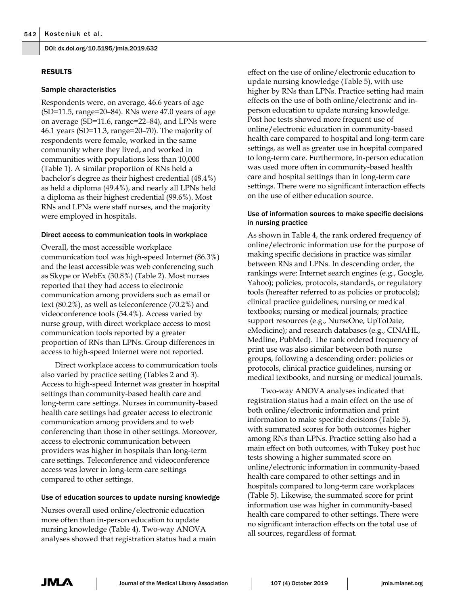## RESULTS

#### Sample characteristics

Respondents were, on average, 46.6 years of age (SD=11.5, range=20–84). RNs were 47.0 years of age on average (SD=11.6, range=22–84), and LPNs were 46.1 years (SD=11.3, range=20–70). The majority of respondents were female, worked in the same community where they lived, and worked in communities with populations less than 10,000 (Table 1). A similar proportion of RNs held a bachelor's degree as their highest credential (48.4%) as held a diploma (49.4%), and nearly all LPNs held a diploma as their highest credential (99.6%). Most RNs and LPNs were staff nurses, and the majority were employed in hospitals.

## Direct access to communication tools in workplace

Overall, the most accessible workplace communication tool was high-speed Internet (86.3%) and the least accessible was web conferencing such as Skype or WebEx (30.8%) (Table 2). Most nurses reported that they had access to electronic communication among providers such as email or text (80.2%), as well as teleconference (70.2%) and videoconference tools (54.4%). Access varied by nurse group, with direct workplace access to most communication tools reported by a greater proportion of RNs than LPNs. Group differences in access to high-speed Internet were not reported.

Direct workplace access to communication tools also varied by practice setting (Tables 2 and 3). Access to high-speed Internet was greater in hospital settings than community-based health care and long-term care settings. Nurses in community-based health care settings had greater access to electronic communication among providers and to web conferencing than those in other settings. Moreover, access to electronic communication between providers was higher in hospitals than long-term care settings. Teleconference and videoconference access was lower in long-term care settings compared to other settings.

## Use of education sources to update nursing knowledge

Nurses overall used online/electronic education more often than in-person education to update nursing knowledge (Table 4). Two-way ANOVA analyses showed that registration status had a main

effect on the use of online/electronic education to update nursing knowledge (Table 5), with use higher by RNs than LPNs. Practice setting had main effects on the use of both online/electronic and inperson education to update nursing knowledge. Post hoc tests showed more frequent use of online/electronic education in community-based health care compared to hospital and long-term care settings, as well as greater use in hospital compared to long-term care. Furthermore, in-person education was used more often in community-based health care and hospital settings than in long-term care settings. There were no significant interaction effects on the use of either education source.

## Use of information sources to make specific decisions in nursing practice

As shown in Table 4, the rank ordered frequency of online/electronic information use for the purpose of making specific decisions in practice was similar between RNs and LPNs. In descending order, the rankings were: Internet search engines (e.g., Google, Yahoo); policies, protocols, standards, or regulatory tools (hereafter referred to as policies or protocols); clinical practice guidelines; nursing or medical textbooks; nursing or medical journals; practice support resources (e.g., NurseOne, UpToDate, eMedicine); and research databases (e.g., CINAHL, Medline, PubMed). The rank ordered frequency of print use was also similar between both nurse groups, following a descending order: policies or protocols, clinical practice guidelines, nursing or medical textbooks, and nursing or medical journals.

Two-way ANOVA analyses indicated that registration status had a main effect on the use of both online/electronic information and print information to make specific decisions (Table 5), with summated scores for both outcomes higher among RNs than LPNs. Practice setting also had a main effect on both outcomes, with Tukey post hoc tests showing a higher summated score on online/electronic information in community-based health care compared to other settings and in hospitals compared to long-term care workplaces (Table 5). Likewise, the summated score for print information use was higher in community-based health care compared to other settings. There were no significant interaction effects on the total use of all sources, regardless of format.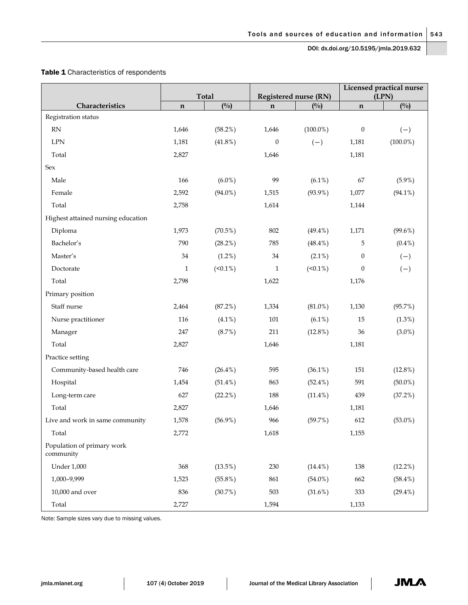# Table 1 Characteristics of respondents

|                                         |              | <b>Total</b>  |              | <b>Registered nurse (RN)</b> | Licensed practical nurse<br>(LPN) |               |  |
|-----------------------------------------|--------------|---------------|--------------|------------------------------|-----------------------------------|---------------|--|
| Characteristics                         | $\mathbf n$  | $(^{0}/_{0})$ | $\mathbf n$  | (0/0)                        | $\mathbf n$                       | $(^{0}/_{0})$ |  |
| Registration status                     |              |               |              |                              |                                   |               |  |
| RN                                      | 1,646        | $(58.2\%)$    | 1,646        | $(100.0\%)$                  | $\boldsymbol{0}$                  | $(-)$         |  |
| <b>LPN</b>                              | 1,181        | $(41.8\%)$    | $\mathbf{0}$ | $(-)$                        | 1,181                             | $(100.0\%)$   |  |
| Total                                   | 2,827        |               | 1,646        |                              | 1,181                             |               |  |
| Sex                                     |              |               |              |                              |                                   |               |  |
| Male                                    | 166          | $(6.0\%)$     | 99           | $(6.1\%)$                    | 67                                | $(5.9\%)$     |  |
| Female                                  | 2,592        | $(94.0\%)$    | 1,515        | $(93.9\%)$                   | 1,077                             | $(94.1\%)$    |  |
| Total                                   | 2,758        |               | 1,614        |                              | 1,144                             |               |  |
| Highest attained nursing education      |              |               |              |                              |                                   |               |  |
| Diploma                                 | 1,973        | $(70.5\%)$    | 802          | $(49.4\%)$                   | 1,171                             | $(99.6\%)$    |  |
| Bachelor's                              | 790          | $(28.2\%)$    | 785          | $(48.4\%)$                   | 5                                 | $(0.4\%)$     |  |
| Master's                                | 34           | (1.2%)        | 34           | $(2.1\%)$                    | $\boldsymbol{0}$                  | $(-)$         |  |
| Doctorate                               | $\mathbf{1}$ | $(50.1\%)$    | $\mathbf{1}$ | $(50.1\%)$                   | $\boldsymbol{0}$                  | $(-)$         |  |
| Total                                   | 2,798        |               | 1,622        |                              | 1,176                             |               |  |
| Primary position                        |              |               |              |                              |                                   |               |  |
| Staff nurse                             | 2,464        | (87.2%)       | 1,334        | $(81.0\%)$                   | 1,130                             | (95.7%)       |  |
| Nurse practitioner                      | 116          | $(4.1\%)$     | $101\,$      | $(6.1\%)$                    | 15                                | $(1.3\%)$     |  |
| Manager                                 | 247          | (8.7%)        | 211          | $(12.8\%)$                   | 36                                | $(3.0\%)$     |  |
| Total                                   | 2,827        |               | 1,646        |                              | 1,181                             |               |  |
| Practice setting                        |              |               |              |                              |                                   |               |  |
| Community-based health care             | 746          | $(26.4\%)$    | 595          | $(36.1\%)$                   | 151                               | $(12.8\%)$    |  |
| Hospital                                | 1,454        | $(51.4\%)$    | 863          | $(52.4\%)$                   | 591                               | $(50.0\%)$    |  |
| Long-term care                          | 627          | $(22.2\%)$    | 188          | $(11.4\%)$                   | 439                               | $(37.2\%)$    |  |
| Total                                   | 2,827        |               | 1,646        |                              | 1,181                             |               |  |
| Live and work in same community         | 1,578        | $(56.9\%)$    | 966          | (59.7%)                      | 612                               | $(53.0\%)$    |  |
| Total                                   | 2,772        |               | 1,618        |                              | 1,155                             |               |  |
| Population of primary work<br>community |              |               |              |                              |                                   |               |  |
| <b>Under 1,000</b>                      | 368          | $(13.5\%)$    | 230          | $(14.4\%)$                   | 138                               | $(12.2\%)$    |  |
| 1,000-9,999                             | 1,523        | $(55.8\%)$    | 861          | $(54.0\%)$                   | 662                               | $(58.4\%)$    |  |
| 10,000 and over                         | 836          | (30.7%)       | 503          | $(31.6\%)$                   | 333                               | $(29.4\%)$    |  |
| Total                                   | 2,727        |               | 1,594        |                              | 1,133                             |               |  |

Note: Sample sizes vary due to missing values.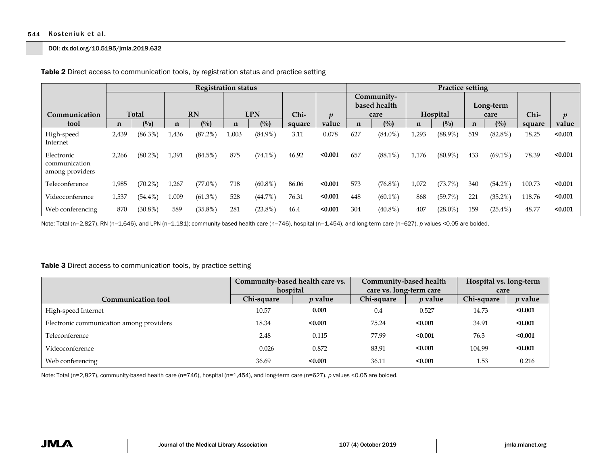#### 544 Kosteniuk et al.

#### DOI: dx.doi.org/10.5195/jmla.2019.632

|                                                |             |              |       | <b>Registration status</b> |       |                |        | <b>Practice setting</b> |                                    |            |          |            |                   |            |        |                  |
|------------------------------------------------|-------------|--------------|-------|----------------------------|-------|----------------|--------|-------------------------|------------------------------------|------------|----------|------------|-------------------|------------|--------|------------------|
| Communication                                  |             | <b>Total</b> |       | <b>RN</b>                  |       | <b>LPN</b>     |        | $\boldsymbol{p}$        | Community-<br>based health<br>care |            | Hospital |            | Long-term<br>care |            | $Chi-$ | $\boldsymbol{v}$ |
| tool                                           | $\mathbf n$ | (%)          | n     | $($ %)                     | n     | $\binom{0}{0}$ | square | value                   | $\mathbf n$                        | (0/0)      | n        | (0/0)      | n                 | $($ %)     | square | value            |
| High-speed<br>Internet                         | 2,439       | $(86.3\%)$   | 1,436 | (87.2%)                    | 1,003 | $(84.9\%)$     | 3.11   | 0.078                   | 627                                | $(84.0\%)$ | 1,293    | $(88.9\%)$ | 519               | $(82.8\%)$ | 18.25  | < 0.001          |
| Electronic<br>communication<br>among providers | 2,266       | $(80.2\%)$   | 1,391 | $(84.5\%)$                 | 875   | $(74.1\%)$     | 46.92  | < 0.001                 | 657                                | $(88.1\%)$ | 1,176    | $(80.9\%)$ | 433               | $(69.1\%)$ | 78.39  | < 0.001          |
| Teleconference                                 | 1,985       | $(70.2\%)$   | 1,267 | $(77.0\%)$                 | 718   | $(60.8\%)$     | 86.06  | < 0.001                 | 573                                | $(76.8\%)$ | 1,072    | $(73.7\%)$ | 340               | $(54.2\%)$ | 100.73 | < 0.001          |
| Videoconference                                | 1,537       | $(54.4\%)$   | 1,009 | $(61.3\%)$                 | 528   | (44.7%)        | 76.31  | < 0.001                 | 448                                | $(60.1\%)$ | 868      | (59.7%)    | 221               | $(35.2\%)$ | 118.76 | < 0.001          |
| Web conferencing                               | 870         | $(30.8\%)$   | 589   | $(35.8\%)$                 | 281   | $(23.8\%)$     | 46.4   | < 0.001                 | 304                                | $(40.8\%)$ | 407      | $(28.0\%)$ | 159               | $(25.4\%)$ | 48.77  | < 0.001          |

Table 2 Direct access to communication tools, by registration status and practice setting

Note: Total (n=2,827), RN (n=1,646), and LPN (n=1,181); community-based health care (n=746), hospital (n=1,454), and long-term care (n=627). *p* values <0.05 are bolded.

## Table 3 Direct access to communication tools, by practice setting

|                                          | Community-based health care vs. |                | Community-based health  |                | Hospital vs. long-term |                |  |
|------------------------------------------|---------------------------------|----------------|-------------------------|----------------|------------------------|----------------|--|
|                                          | hospital                        |                | care vs. long-term care |                | care                   |                |  |
| <b>Communication tool</b>                | Chi-square                      | <i>p</i> value | Chi-square              | <i>p</i> value | Chi-square             | <i>p</i> value |  |
| High-speed Internet                      | 10.57                           | 0.001          | 0.4                     | 0.527          | 14.73                  | < 0.001        |  |
| Electronic communication among providers | 18.34                           | < 0.001        | 75.24                   | < 0.001        | 34.91                  | < 0.001        |  |
| Teleconference                           | 2.48                            | 0.115          | 77.99                   | < 0.001        | 76.3                   | < 0.001        |  |
| Videoconference                          | 0.026                           | 0.872          | 83.91                   | < 0.001        | 104.99                 | < 0.001        |  |
| Web conferencing                         | 36.69                           | < 0.001        | 36.11                   | < 0.001        | 1.53                   | 0.216          |  |

Note: Total (n=2,827), community-based health care (n=746), hospital (n=1,454), and long-term care (n=627). *p* values <0.05 are bolded.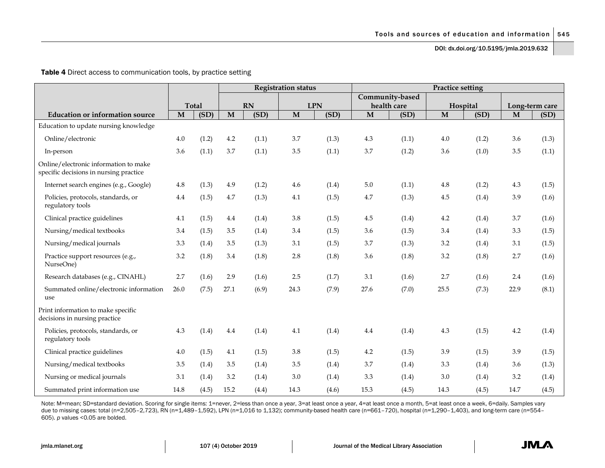Table 4 Direct access to communication tools, by practice setting

|                                                                                 |              |              | <b>Registration status</b> |       |              |            | <b>Practice setting</b> |                 |         |          |             |                |  |
|---------------------------------------------------------------------------------|--------------|--------------|----------------------------|-------|--------------|------------|-------------------------|-----------------|---------|----------|-------------|----------------|--|
|                                                                                 |              |              |                            |       |              |            |                         | Community-based |         |          |             |                |  |
|                                                                                 |              | <b>Total</b> |                            | RN    |              | <b>LPN</b> |                         | health care     |         | Hospital |             | Long-term care |  |
| <b>Education or information source</b>                                          | $\mathbf{M}$ | (SD)         | M                          | (SD)  | $\mathbf{M}$ | (SD)       | $\mathbf M$             | (SD)            | M       | (SD)     | $\mathbf M$ | (SD)           |  |
| Education to update nursing knowledge                                           |              |              |                            |       |              |            |                         |                 |         |          |             |                |  |
| Online/electronic                                                               | 4.0          | (1.2)        | $4.2\,$                    | (1.1) | 3.7          | (1.3)      | 4.3                     | (1.1)           | 4.0     | (1.2)    | 3.6         | (1.3)          |  |
| In-person                                                                       | 3.6          | (1.1)        | 3.7                        | (1.1) | 3.5          | (1.1)      | 3.7                     | (1.2)           | 3.6     | (1.0)    | 3.5         | (1.1)          |  |
| Online/electronic information to make<br>specific decisions in nursing practice |              |              |                            |       |              |            |                         |                 |         |          |             |                |  |
| Internet search engines (e.g., Google)                                          | 4.8          | (1.3)        | 4.9                        | (1.2) | 4.6          | (1.4)      | $5.0\,$                 | (1.1)           | 4.8     | (1.2)    | 4.3         | (1.5)          |  |
| Policies, protocols, standards, or<br>regulatory tools                          | 4.4          | (1.5)        | 4.7                        | (1.3) | 4.1          | (1.5)      | 4.7                     | (1.3)           | 4.5     | (1.4)    | 3.9         | (1.6)          |  |
| Clinical practice guidelines                                                    | 4.1          | (1.5)        | 4.4                        | (1.4) | 3.8          | (1.5)      | 4.5                     | (1.4)           | $4.2\,$ | (1.4)    | 3.7         | (1.6)          |  |
| Nursing/medical textbooks                                                       | 3.4          | (1.5)        | 3.5                        | (1.4) | 3.4          | (1.5)      | 3.6                     | (1.5)           | 3.4     | (1.4)    | 3.3         | (1.5)          |  |
| Nursing/medical journals                                                        | 3.3          | (1.4)        | 3.5                        | (1.3) | 3.1          | (1.5)      | 3.7                     | (1.3)           | 3.2     | (1.4)    | 3.1         | (1.5)          |  |
| Practice support resources (e.g.,<br>NurseOne)                                  | 3.2          | (1.8)        | 3.4                        | (1.8) | 2.8          | (1.8)      | 3.6                     | (1.8)           | 3.2     | (1.8)    | 2.7         | (1.6)          |  |
| Research databases (e.g., CINAHL)                                               | 2.7          | (1.6)        | 2.9                        | (1.6) | 2.5          | (1.7)      | 3.1                     | (1.6)           | 2.7     | (1.6)    | 2.4         | (1.6)          |  |
| Summated online/electronic information<br>use                                   | 26.0         | (7.5)        | 27.1                       | (6.9) | 24.3         | (7.9)      | 27.6                    | (7.0)           | 25.5    | (7.3)    | 22.9        | (8.1)          |  |
| Print information to make specific<br>decisions in nursing practice             |              |              |                            |       |              |            |                         |                 |         |          |             |                |  |
| Policies, protocols, standards, or<br>regulatory tools                          | 4.3          | (1.4)        | 4.4                        | (1.4) | 4.1          | (1.4)      | 4.4                     | (1.4)           | 4.3     | (1.5)    | 4.2         | (1.4)          |  |
| Clinical practice guidelines                                                    | 4.0          | (1.5)        | 4.1                        | (1.5) | 3.8          | (1.5)      | 4.2                     | (1.5)           | 3.9     | (1.5)    | 3.9         | (1.5)          |  |
| Nursing/medical textbooks                                                       | 3.5          | (1.4)        | 3.5                        | (1.4) | 3.5          | (1.4)      | 3.7                     | (1.4)           | 3.3     | (1.4)    | 3.6         | (1.3)          |  |
| Nursing or medical journals                                                     | 3.1          | (1.4)        | 3.2                        | (1.4) | 3.0          | (1.4)      | 3.3                     | (1.4)           | 3.0     | (1.4)    | 3.2         | (1.4)          |  |
| Summated print information use                                                  | 14.8         | (4.5)        | 15.2                       | (4.4) | 14.3         | (4.6)      | 15.3                    | (4.5)           | 14.3    | (4.5)    | 14.7        | (4.5)          |  |

Note: M=mean; SD=standard deviation. Scoring for single items: 1=never, 2=less than once a year, 3=at least once a year, 4=at least once a month, 5=at least once a week, 6=daily. Samples vary due to missing cases: total (n=2,505-2,723), RN (n=1,489-1,592), LPN (n=1,016 to 1,132); community-based health care (n=661-720), hospital (n=1,290-1,403), and long-term care (n=554-605). *p* values <0.05 are bolded.

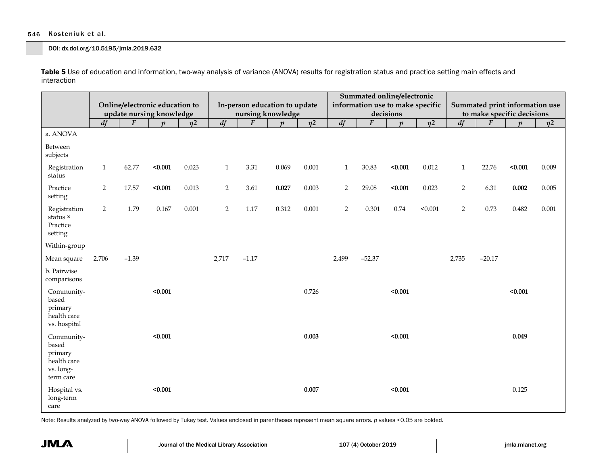## 546 Kosteniuk et al.

DOI: dx.doi.org/10.5195/jmla.2019.632

Table 5 Use of education and information, two-way analysis of variance (ANOVA) results for registration status and practice setting main effects and interaction

|                                                                         |                |                  | Online/electronic education to<br>update nursing knowledge |           | In-person education to update<br>nursing knowledge |                  |                  |                     | Summated online/electronic<br>information use to make specific<br>decisions |          |                  |                     | Summated print information use<br>to make specific decisions |                  |                  |                     |
|-------------------------------------------------------------------------|----------------|------------------|------------------------------------------------------------|-----------|----------------------------------------------------|------------------|------------------|---------------------|-----------------------------------------------------------------------------|----------|------------------|---------------------|--------------------------------------------------------------|------------------|------------------|---------------------|
|                                                                         | df             | $\boldsymbol{F}$ | $\boldsymbol{n}$                                           | $\eta$ 2  | df                                                 | $\boldsymbol{F}$ | $\boldsymbol{p}$ | $\eta$ <sup>2</sup> | df                                                                          | F        | $\boldsymbol{p}$ | $\eta$ <sup>2</sup> | df                                                           | $\boldsymbol{F}$ | $\boldsymbol{v}$ | $\eta$ <sup>2</sup> |
| a. ANOVA                                                                |                |                  |                                                            |           |                                                    |                  |                  |                     |                                                                             |          |                  |                     |                                                              |                  |                  |                     |
| Between<br>subjects                                                     |                |                  |                                                            |           |                                                    |                  |                  |                     |                                                                             |          |                  |                     |                                                              |                  |                  |                     |
| Registration<br>status                                                  | $\mathbf{1}$   | 62.77            | < 0.001                                                    | 0.023     | $\,1\,$                                            | 3.31             | 0.069            | $0.001\,$           | $\mathbf{1}$                                                                | 30.83    | $0.001$          | 0.012               | $1\,$                                                        | 22.76            | $0.001$          | 0.009               |
| Practice<br>setting                                                     | $\overline{2}$ | 17.57            | < 0.001                                                    | 0.013     | $\sqrt{2}$                                         | 3.61             | 0.027            | 0.003               | $\overline{2}$                                                              | 29.08    | $0.001$          | 0.023               | $\overline{2}$                                               | 6.31             | 0.002            | 0.005               |
| Registration<br>status ×<br>Practice<br>setting                         | $\overline{2}$ | 1.79             | 0.167                                                      | $0.001\,$ | $\overline{2}$                                     | $1.17\,$         | 0.312            | 0.001               | 2                                                                           | 0.301    | 0.74             | < 0.001             | $\overline{2}$                                               | 0.73             | 0.482            | 0.001               |
| Within-group                                                            |                |                  |                                                            |           |                                                    |                  |                  |                     |                                                                             |          |                  |                     |                                                              |                  |                  |                     |
| Mean square                                                             | 2,706          | $-1.39$          |                                                            |           | 2,717                                              | $-1.17$          |                  |                     | 2,499                                                                       | $-52.37$ |                  |                     | 2,735                                                        | $-20.17$         |                  |                     |
| b. Pairwise<br>comparisons                                              |                |                  |                                                            |           |                                                    |                  |                  |                     |                                                                             |          |                  |                     |                                                              |                  |                  |                     |
| Community-<br>based<br>primary<br>health care<br>vs. hospital           |                |                  | < 0.001                                                    |           |                                                    |                  |                  | 0.726               |                                                                             |          | < 0.001          |                     |                                                              |                  | < 0.001          |                     |
| Community-<br>based<br>primary<br>health care<br>vs. long-<br>term care |                |                  | < 0.001                                                    |           |                                                    |                  |                  | 0.003               |                                                                             |          | $0.001$          |                     |                                                              |                  | 0.049            |                     |
| Hospital vs.<br>long-term<br>care                                       |                |                  | < 0.001                                                    |           |                                                    |                  |                  | 0.007               |                                                                             |          | < 0.001          |                     |                                                              |                  | 0.125            |                     |

Note: Results analyzed by two-way ANOVA followed by Tukey test. Values enclosed in parentheses represent mean square errors. *p* values <0.05 are bolded.

**JMLA**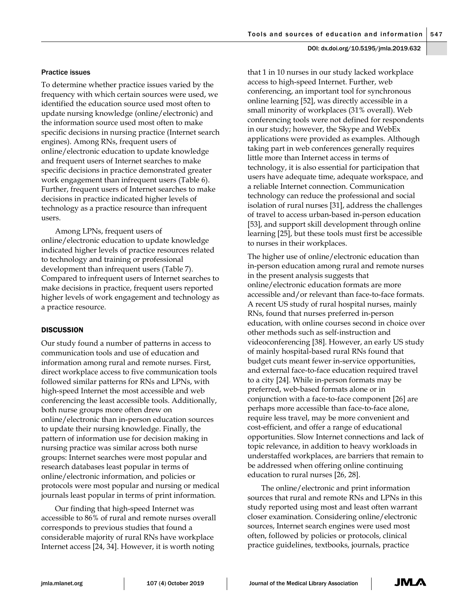#### Practice issues

To determine whether practice issues varied by the frequency with which certain sources were used, we identified the education source used most often to update nursing knowledge (online/electronic) and the information source used most often to make specific decisions in nursing practice (Internet search engines). Among RNs, frequent users of online/electronic education to update knowledge and frequent users of Internet searches to make specific decisions in practice demonstrated greater work engagement than infrequent users (Table 6). Further, frequent users of Internet searches to make decisions in practice indicated higher levels of technology as a practice resource than infrequent users.

Among LPNs, frequent users of online/electronic education to update knowledge indicated higher levels of practice resources related to technology and training or professional development than infrequent users (Table 7). Compared to infrequent users of Internet searches to make decisions in practice, frequent users reported higher levels of work engagement and technology as a practice resource.

#### **DISCUSSION**

Our study found a number of patterns in access to communication tools and use of education and information among rural and remote nurses. First, direct workplace access to five communication tools followed similar patterns for RNs and LPNs, with high-speed Internet the most accessible and web conferencing the least accessible tools. Additionally, both nurse groups more often drew on online/electronic than in-person education sources to update their nursing knowledge. Finally, the pattern of information use for decision making in nursing practice was similar across both nurse groups: Internet searches were most popular and research databases least popular in terms of online/electronic information, and policies or protocols were most popular and nursing or medical journals least popular in terms of print information.

Our finding that high-speed Internet was accessible to 86% of rural and remote nurses overall corresponds to previous studies that found a considerable majority of rural RNs have workplace Internet access [24, 34]. However, it is worth noting

that 1 in 10 nurses in our study lacked workplace access to high-speed Internet. Further, web conferencing, an important tool for synchronous online learning [52], was directly accessible in a small minority of workplaces (31% overall). Web conferencing tools were not defined for respondents in our study; however, the Skype and WebEx applications were provided as examples. Although taking part in web conferences generally requires little more than Internet access in terms of technology, it is also essential for participation that users have adequate time, adequate workspace, and a reliable Internet connection. Communication technology can reduce the professional and social isolation of rural nurses [31], address the challenges of travel to access urban-based in-person education [53], and support skill development through online learning [25], but these tools must first be accessible to nurses in their workplaces.

The higher use of online/electronic education than in-person education among rural and remote nurses in the present analysis suggests that online/electronic education formats are more accessible and/or relevant than face-to-face formats. A recent US study of rural hospital nurses, mainly RNs, found that nurses preferred in-person education, with online courses second in choice over other methods such as self-instruction and videoconferencing [38]. However, an early US study of mainly hospital-based rural RNs found that budget cuts meant fewer in-service opportunities, and external face-to-face education required travel to a city [24]. While in-person formats may be preferred, web-based formats alone or in conjunction with a face-to-face component [26] are perhaps more accessible than face-to-face alone, require less travel, may be more convenient and cost-efficient, and offer a range of educational opportunities. Slow Internet connections and lack of topic relevance, in addition to heavy workloads in understaffed workplaces, are barriers that remain to be addressed when offering online continuing education to rural nurses [26, 28].

The online/electronic and print information sources that rural and remote RNs and LPNs in this study reported using most and least often warrant closer examination. Considering online/electronic sources, Internet search engines were used most often, followed by policies or protocols, clinical practice guidelines, textbooks, journals, practice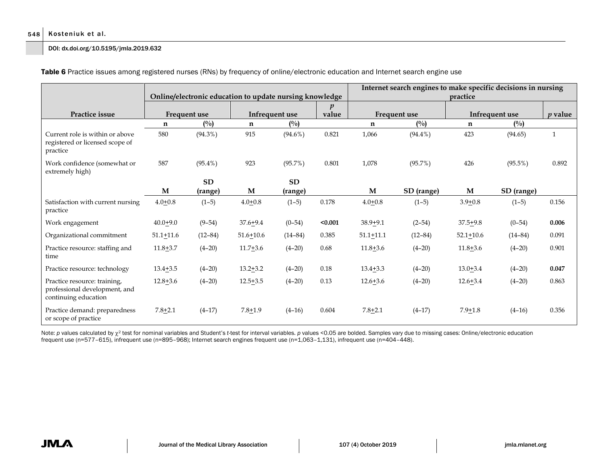#### 548 Kosteniuk et al.

#### DOI: dx.doi.org/10.5195/jmla.2019.632

|                                                                                       |                    |             | Online/electronic education to update nursing knowledge |                |         | Internet search engines to make specific decisions in nursing<br>practice |               |                |                |              |  |  |
|---------------------------------------------------------------------------------------|--------------------|-------------|---------------------------------------------------------|----------------|---------|---------------------------------------------------------------------------|---------------|----------------|----------------|--------------|--|--|
| Practice issue                                                                        | Frequent use       |             |                                                         | Infrequent use |         |                                                                           | Frequent use  | Infrequent use | <i>v</i> value |              |  |  |
|                                                                                       | $(^{0}/_{0})$<br>n |             | n                                                       | (0/0)          |         | $\mathbf n$                                                               | $(^{0}/_{0})$ | n              | $(^{0}/_{0})$  |              |  |  |
| Current role is within or above<br>registered or licensed scope of<br>practice        | 580                | $(94.3\%)$  | 915                                                     | $(94.6\%)$     | 0.821   | 1,066                                                                     | $(94.4\%)$    | 423            | (94.65)        | $\mathbf{1}$ |  |  |
| Work confidence (somewhat or<br>extremely high)                                       | 587                | $(95.4\%)$  | 923                                                     | $(95.7\%)$     | 0.801   | 1,078                                                                     | (95.7%)       | 426            | $(95.5\%)$     | 0.892        |  |  |
|                                                                                       |                    | <b>SD</b>   |                                                         | <b>SD</b>      |         |                                                                           |               |                |                |              |  |  |
|                                                                                       | M                  | (range)     | M                                                       | (range)        |         | M                                                                         | SD (range)    | M              | SD (range)     |              |  |  |
| Satisfaction with current nursing<br>practice                                         | $4.0 + 0.8$        | $(1-5)$     | $4.0 + 0.8$                                             | $(1-5)$        | 0.178   | $4.0 + 0.8$                                                               | $(1-5)$       | $3.9 + 0.8$    | $(1-5)$        | 0.156        |  |  |
| Work engagement                                                                       | $40.0 + 9.0$       | $(9-54)$    | $37.6 + 9.4$                                            | $(0-54)$       | < 0.001 | $38.9 + 9.1$                                                              | $(2-54)$      | $37.5 + 9.8$   | $(0-54)$       | 0.006        |  |  |
| Organizational commitment                                                             | $51.1 + 11.6$      | $(12 - 84)$ | $51.6 + 10.6$                                           | $(14 - 84)$    | 0.385   | $51.1 + 11.1$                                                             | $(12 - 84)$   | $52.1 + 10.6$  | $(14 - 84)$    | 0.091        |  |  |
| Practice resource: staffing and<br>time                                               | $11.8 + 3.7$       | $(4-20)$    | $11.7 + 3.6$                                            | $(4 - 20)$     | 0.68    | $11.8 + 3.6$                                                              | $(4-20)$      | $11.8 + 3.6$   | $(4 - 20)$     | 0.901        |  |  |
| Practice resource: technology                                                         | $13.4 + 3.5$       | $(4-20)$    | $13.2 + 3.2$                                            | $(4-20)$       | 0.18    | $13.4 + 3.3$                                                              | $(4-20)$      | $13.0 + 3.4$   | $(4 - 20)$     | 0.047        |  |  |
| Practice resource: training,<br>professional development, and<br>continuing education | $12.8 + 3.6$       | $(4 - 20)$  | $12.5 + 3.5$                                            | $(4 - 20)$     | 0.13    | $12.6 + 3.6$                                                              | $(4 - 20)$    | $12.6 + 3.4$   | $(4 - 20)$     | 0.863        |  |  |
| Practice demand: preparedness<br>or scope of practice                                 | $7.8 + 2.1$        | $(4-17)$    | $7.8 + 1.9$                                             | $(4-16)$       | 0.604   | $7.8 + 2.1$                                                               | $(4-17)$      | $7.9 + 1.8$    | $(4 - 16)$     | 0.356        |  |  |

Table 6 Practice issues among registered nurses (RNs) by frequency of online/electronic education and Internet search engine use

Note: *p* values calculated by χ<sup>2</sup> test for nominal variables and Student's *t*-test for interval variables. *p* values <0.05 are bolded. Samples vary due to missing cases: Online/electronic education frequent use (n=577–615), infrequent use (n=895–968); Internet search engines frequent use (n=1,063–1,131), infrequent use (n=404–448).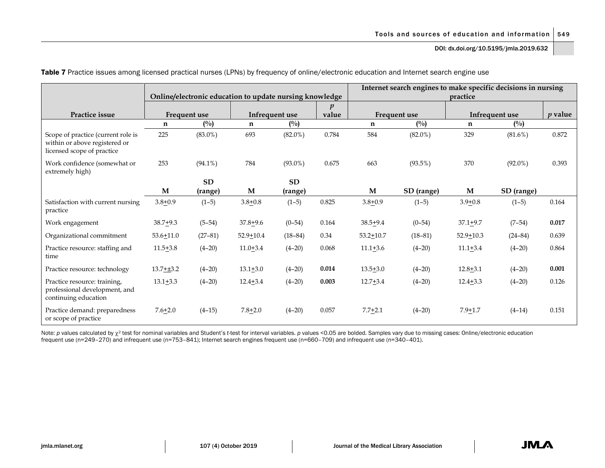Tools and sources of education and information  $\vert$  549

DOI: dx.doi.org/10.5195/jmla.2019.632

|                                                                                                   |                  |               |                                                         |            |                  | Internet search engines to make specific decisions in nursing |               |                |             |                |  |  |
|---------------------------------------------------------------------------------------------------|------------------|---------------|---------------------------------------------------------|------------|------------------|---------------------------------------------------------------|---------------|----------------|-------------|----------------|--|--|
|                                                                                                   |                  |               | Online/electronic education to update nursing knowledge |            |                  | practice                                                      |               |                |             |                |  |  |
|                                                                                                   |                  |               |                                                         |            | $\boldsymbol{p}$ |                                                               |               |                |             |                |  |  |
| Practice issue                                                                                    | Frequent use     |               | Infrequent use                                          |            | value            |                                                               | Frequent use  | Infrequent use |             | <i>v</i> value |  |  |
|                                                                                                   | n                | $(^{0}/_{0})$ | $\mathbf n$                                             | (0/0)      |                  | n                                                             | $(^{0}/_{0})$ | n              | (0/0)       |                |  |  |
| Scope of practice (current role is<br>within or above registered or<br>licensed scope of practice | 225              | $(83.0\%)$    | 693                                                     | $(82.0\%)$ | 0.784            | 584                                                           | $(82.0\%)$    | 329            | $(81.6\%)$  | 0.872          |  |  |
| Work confidence (somewhat or<br>extremely high)                                                   | 253              | $(94.1\%)$    | 784                                                     | $(93.0\%)$ | 0.675            | 663                                                           | $(93.5\%)$    | 370            | $(92.0\%)$  | 0.393          |  |  |
|                                                                                                   |                  | <b>SD</b>     |                                                         | <b>SD</b>  |                  |                                                               |               |                |             |                |  |  |
|                                                                                                   | M                | (range)       | M                                                       | (range)    |                  | M                                                             | SD (range)    | M              | SD (range)  |                |  |  |
| Satisfaction with current nursing<br>practice                                                     | $3.8 + 0.9$      | $(1-5)$       | $3.8 + 0.8$                                             | $(1-5)$    | 0.825            | $3.8 + 0.9$                                                   | $(1-5)$       | $3.9 + 0.8$    | $(1-5)$     | 0.164          |  |  |
| Work engagement                                                                                   | $38.7 + 9.3$     | $(5-54)$      | $37.8 + 9.6$                                            | $(0-54)$   | 0.164            | $38.5 + 9.4$                                                  | $(0-54)$      | $37.1 + 9.7$   | $(7-54)$    | 0.017          |  |  |
| Organizational commitment                                                                         | $53.6 + 11.0$    | $(27-81)$     | $52.9 + 10.4$                                           | $(18-84)$  | 0.34             | $53.2 + 10.7$                                                 | $(18-81)$     | $52.9 + 10.3$  | $(24 - 84)$ | 0.639          |  |  |
| Practice resource: staffing and<br>time                                                           | $11.5+3.8$       | $(4 - 20)$    | $11.0+3.4$                                              | $(4-20)$   | 0.068            | $11.1 + 3.6$                                                  | $(4 - 20)$    | $11.1 + 3.4$   | $(4 - 20)$  | 0.864          |  |  |
| Practice resource: technology                                                                     | $13.7 + \pm 3.2$ | $(4-20)$      | $13.1 + 3.0$                                            | $(4 - 20)$ | 0.014            | $13.5 + 3.0$                                                  | $(4-20)$      | $12.8 + 3.1$   | $(4-20)$    | 0.001          |  |  |
| Practice resource: training,<br>professional development, and<br>continuing education             | $13.1 + 3.3$     | $(4-20)$      | $12.4 + 3.4$                                            | $(4 - 20)$ | 0.003            | $12.7 + 3.4$                                                  | $(4-20)$      | $12.4 + 3.3$   | $(4 - 20)$  | 0.126          |  |  |
| Practice demand: preparedness<br>or scope of practice                                             | $7.6 + 2.0$      | $(4-15)$      | $7.8 + 2.0$                                             | $(4 - 20)$ | 0.057            | $7.7 + 2.1$                                                   | $(4-20)$      | $7.9 + 1.7$    | $(4-14)$    | 0.151          |  |  |

Table 7 Practice issues among licensed practical nurses (LPNs) by frequency of online/electronic education and Internet search engine use

Note: *p* values calculated by χ<sup>2</sup> test for nominal variables and Student's t-test for interval variables. *p* values <0.05 are bolded. Samples vary due to missing cases: Online/electronic education frequent use (n=249–270) and infrequent use (n=753–841); Internet search engines frequent use (n=660–709) and infrequent use (n=340–401).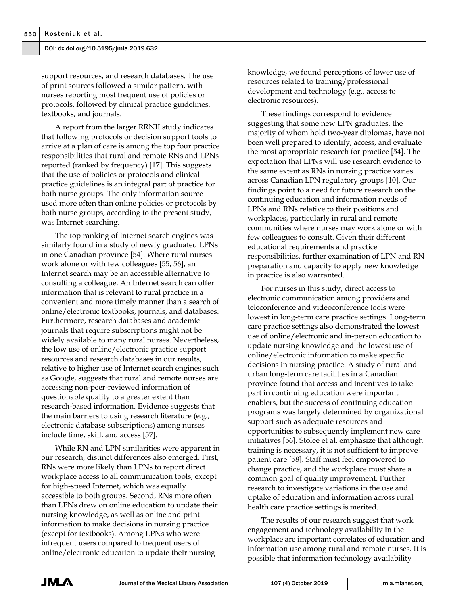support resources, and research databases. The use of print sources followed a similar pattern, with nurses reporting most frequent use of policies or protocols, followed by clinical practice guidelines, textbooks, and journals.

A report from the larger RRNII study indicates that following protocols or decision support tools to arrive at a plan of care is among the top four practice responsibilities that rural and remote RNs and LPNs reported (ranked by frequency) [17]. This suggests that the use of policies or protocols and clinical practice guidelines is an integral part of practice for both nurse groups. The only information source used more often than online policies or protocols by both nurse groups, according to the present study, was Internet searching.

The top ranking of Internet search engines was similarly found in a study of newly graduated LPNs in one Canadian province [54]. Where rural nurses work alone or with few colleagues [55, 56], an Internet search may be an accessible alternative to consulting a colleague. An Internet search can offer information that is relevant to rural practice in a convenient and more timely manner than a search of online/electronic textbooks, journals, and databases. Furthermore, research databases and academic journals that require subscriptions might not be widely available to many rural nurses. Nevertheless, the low use of online/electronic practice support resources and research databases in our results, relative to higher use of Internet search engines such as Google, suggests that rural and remote nurses are accessing non-peer-reviewed information of questionable quality to a greater extent than research-based information. Evidence suggests that the main barriers to using research literature (e.g., electronic database subscriptions) among nurses include time, skill, and access [57].

While RN and LPN similarities were apparent in our research, distinct differences also emerged. First, RNs were more likely than LPNs to report direct workplace access to all communication tools, except for high-speed Internet, which was equally accessible to both groups. Second, RNs more often than LPNs drew on online education to update their nursing knowledge, as well as online and print information to make decisions in nursing practice (except for textbooks). Among LPNs who were infrequent users compared to frequent users of online/electronic education to update their nursing

knowledge, we found perceptions of lower use of resources related to training/professional development and technology (e.g., access to electronic resources).

These findings correspond to evidence suggesting that some new LPN graduates, the majority of whom hold two-year diplomas, have not been well prepared to identify, access, and evaluate the most appropriate research for practice [54]. The expectation that LPNs will use research evidence to the same extent as RNs in nursing practice varies across Canadian LPN regulatory groups [10]. Our findings point to a need for future research on the continuing education and information needs of LPNs and RNs relative to their positions and workplaces, particularly in rural and remote communities where nurses may work alone or with few colleagues to consult. Given their different educational requirements and practice responsibilities, further examination of LPN and RN preparation and capacity to apply new knowledge in practice is also warranted.

For nurses in this study, direct access to electronic communication among providers and teleconference and videoconference tools were lowest in long-term care practice settings. Long-term care practice settings also demonstrated the lowest use of online/electronic and in-person education to update nursing knowledge and the lowest use of online/electronic information to make specific decisions in nursing practice. A study of rural and urban long-term care facilities in a Canadian province found that access and incentives to take part in continuing education were important enablers, but the success of continuing education programs was largely determined by organizational support such as adequate resources and opportunities to subsequently implement new care initiatives [56]. Stolee et al. emphasize that although training is necessary, it is not sufficient to improve patient care [58]. Staff must feel empowered to change practice, and the workplace must share a common goal of quality improvement. Further research to investigate variations in the use and uptake of education and information across rural health care practice settings is merited.

The results of our research suggest that work engagement and technology availability in the workplace are important correlates of education and information use among rural and remote nurses. It is possible that information technology availability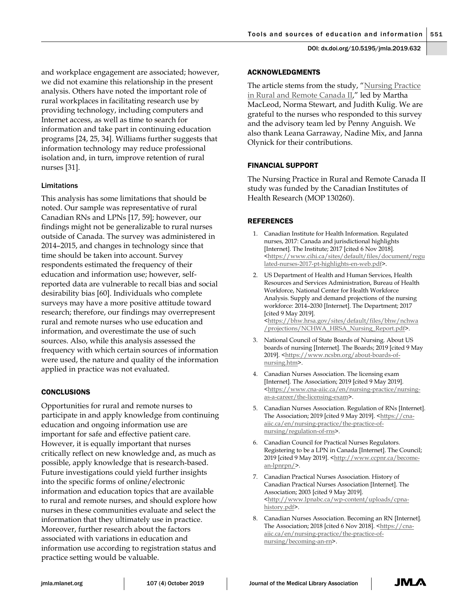and workplace engagement are associated; however, we did not examine this relationship in the present analysis. Others have noted the important role of rural workplaces in facilitating research use by providing technology, including computers and Internet access, as well as time to search for information and take part in continuing education programs [24, 25, 34]. Williams further suggests that information technology may reduce professional isolation and, in turn, improve retention of rural nurses [31].

## Limitations

This analysis has some limitations that should be noted. Our sample was representative of rural Canadian RNs and LPNs [17, 59]; however, our findings might not be generalizable to rural nurses outside of Canada. The survey was administered in 2014–2015, and changes in technology since that time should be taken into account. Survey respondents estimated the frequency of their education and information use; however, selfreported data are vulnerable to recall bias and social desirability bias [60]. Individuals who complete surveys may have a more positive attitude toward research; therefore, our findings may overrepresent rural and remote nurses who use education and information, and overestimate the use of such sources. Also, while this analysis assessed the frequency with which certain sources of information were used, the nature and quality of the information applied in practice was not evaluated.

## **CONCLUSIONS**

Opportunities for rural and remote nurses to participate in and apply knowledge from continuing education and ongoing information use are important for safe and effective patient care. However, it is equally important that nurses critically reflect on new knowledge and, as much as possible, apply knowledge that is research-based. Future investigations could yield further insights into the specific forms of online/electronic information and education topics that are available to rural and remote nurses, and should explore how nurses in these communities evaluate and select the information that they ultimately use in practice. Moreover, further research about the factors associated with variations in education and information use according to registration status and practice setting would be valuable.

## ACKNOWLEDGMENTS

The article stems from the study, "Nursing Practice in Rural and Remote Canada II," led by Martha MacLeod, Norma Stewart, and Judith Kulig. We are grateful to the nurses who responded to this survey and the advisory team led by Penny Anguish. We also thank Leana Garraway, Nadine Mix, and Janna Olynick for their contributions.

## FINANCIAL SUPPORT

The Nursing Practice in Rural and Remote Canada II study was funded by the Canadian Institutes of Health Research (MOP 130260).

## REFERENCES

- 1. Canadian Institute for Health Information. Regulated nurses, 2017: Canada and jurisdictional highlights [Internet]. The Institute; 2017 [cited 6 Nov 2018]. <https://www.cihi.ca/sites/default/files/document/regu lated-nurses-2017-pt-highlights-en-web.pdf>.
- 2. US Department of Health and Human Services, Health Resources and Services Administration, Bureau of Health Workforce, National Center for Health Workforce Analysis. Supply and demand projections of the nursing workforce: 2014–2030 [Internet]. The Department; 2017 [cited 9 May 2019]. <https://bhw.hrsa.gov/sites/default/files/bhw/nchwa /projections/NCHWA\_HRSA\_Nursing\_Report.pdf>.
- 3. National Council of State Boards of Nursing. About US boards of nursing [Internet]. The Boards; 2019 [cited 9 May 2019]. <https://www.ncsbn.org/about-boards-ofnursing.htm>.
- 4. Canadian Nurses Association. The licensing exam [Internet]. The Association; 2019 [cited 9 May 2019]. <https://www.cna-aiic.ca/en/nursing-practice/nursingas-a-career/the-licensing-exam>.
- 5. Canadian Nurses Association. Regulation of RNs [Internet]. The Association; 2019 [cited 9 May 2019]. <https://cnaaiic.ca/en/nursing-practice/the-practice-ofnursing/regulation-of-rns>.
- 6. Canadian Council for Practical Nurses Regulators. Registering to be a LPN in Canada [Internet]. The Council; 2019 [cited 9 May 2019]. <http://www.ccpnr.ca/becomean-lpnrpn/>.
- 7. Canadian Practical Nurses Association. History of Canadian Practical Nurses Association [Internet]. The Association; 2003 [cited 9 May 2019]. <http://www.lpnabc.ca/wp-content/uploads/cpnahistory.pdf>.
- 8. Canadian Nurses Association. Becoming an RN [Internet]. The Association; 2018 [cited 6 Nov 2018]. <https://cnaaiic.ca/en/nursing-practice/the-practice-ofnursing/becoming-an-rn>.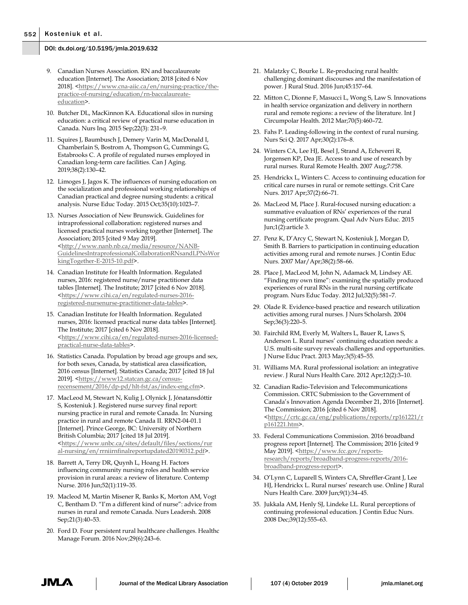- 9. Canadian Nurses Association. RN and baccalaureate education [Internet]. The Association; 2018 [cited 6 Nov 2018]. <https://www.cna-aiic.ca/en/nursing-practice/thepractice-of-nursing/education/rn-baccalaureateeducation>.
- 10. Butcher DL, MacKinnon KA. Educational silos in nursing education: a critical review of practical nurse education in Canada. Nurs Inq. 2015 Sep;22(3): 231–9.
- 11. Squires J, Baumbusch J, Demery Varin M, MacDonald I, Chamberlain S, Bostrom A, Thompson G, Cummings G, Estabrooks C. A profile of regulated nurses employed in Canadian long-term care facilities. Can J Aging. 2019;38(2):130–42.
- 12. Limoges J, Jagos K. The influences of nursing education on the socialization and professional working relationships of Canadian practical and degree nursing students: a critical analysis. Nurse Educ Today. 2015 Oct;35(10):1023–7.
- 13. Nurses Association of New Brunswick. Guidelines for intraprofessional collaboration: registered nurses and licensed practical nurses working together [Internet]. The Association; 2015 [cited 9 May 2019]. <http://www.nanb.nb.ca/media/resource/NANB-GuidelinesIntraprofessionalCollaborationRNsandLPNsWor kingTogether-E-2015-10.pdf>.
- 14. Canadian Institute for Health Information. Regulated nurses, 2016: registered nurse/nurse practitioner data tables [Internet]. The Institute; 2017 [cited 6 Nov 2018]. <https://www.cihi.ca/en/regulated-nurses-2016 registered-nursenurse-practitioner-data-tables>.
- 15. Canadian Institute for Health Information. Regulated nurses, 2016: licensed practical nurse data tables [Internet]. The Institute; 2017 [cited 6 Nov 2018]. <https://www.cihi.ca/en/regulated-nurses-2016-licensedpractical-nurse-data-tables>.
- 16. Statistics Canada. Population by broad age groups and sex, for both sexes, Canada, by statistical area classification, 2016 census [Internet]. Statistics Canada; 2017 [cited 18 Jul 2019]. <https://www12.statcan.gc.ca/censusrecensement/2016/dp-pd/hlt-fst/as/index-eng.cfm>.
- 17. MacLeod M, Stewart N, Kulig J, Olynick J, Jónatansdóttir S, Kosteniuk J. Registered nurse survey final report: nursing practice in rural and remote Canada. In: Nursing practice in rural and remote Canada II. RRN2-04-01.1 [Internet]. Prince George, BC: University of Northern British Columbia; 2017 [cited 18 Jul 2019]. <https://www.unbc.ca/sites/default/files/sections/rur al-nursing/en/rrniirnfinalreportupdated20190312.pdf>.
- 18. Barrett A, Terry DR, Quynh L, Hoang H. Factors influencing community nursing roles and health service provision in rural areas: a review of literature. Contemp Nurse. 2016 Jun;52(1):119–35.
- 19. Macleod M, Martin Misener R, Banks K, Morton AM, Vogt C, Bentham D. "I'm a different kind of nurse": advice from nurses in rural and remote Canada. Nurs Leadersh. 2008 Sep;21(3):40–53.
- 20. Ford D. Four persistent rural healthcare challenges. Healthc Manage Forum. 2016 Nov;29(6):243–6.
- 21. Malatzky C, Bourke L. Re-producing rural health: challenging dominant discourses and the manifestation of power. J Rural Stud. 2016 Jun;45:157–64.
- 22. Mitton C, Dionne F, Masucci L, Wong S, Law S. Innovations in health service organization and delivery in northern rural and remote regions: a review of the literature. Int J Circumpolar Health. 2012 Mar;70(5):460–72.
- 23. Fahs P. Leading-following in the context of rural nursing. Nurs Sci Q. 2017 Apr;30(2):176–8.
- 24. Winters CA, Lee HJ, Besel J, Strand A, Echeverri R, Jorgensen KP, Dea JE. Access to and use of research by rural nurses. Rural Remote Health. 2007 Aug;7:758.
- 25. Hendrickx L, Winters C. Access to continuing education for critical care nurses in rural or remote settings. Crit Care Nurs. 2017 Apr;37(2):66–71.
- 26. MacLeod M, Place J. Rural-focused nursing education: a summative evaluation of RNs' experiences of the rural nursing certificate program. Qual Adv Nurs Educ. 2015 Jun;1(2):article 3.
- 27. Penz K, D'Arcy C, Stewart N, Kosteniuk J, Morgan D, Smith B. Barriers to participation in continuing education activities among rural and remote nurses. J Contin Educ Nurs. 2007 Mar/Apr;38(2):58–66.
- 28. Place J, MacLeod M, John N, Adamack M, Lindsey AE. "Finding my own time": examining the spatially produced experiences of rural RNs in the rural nursing certificate program. Nurs Educ Today. 2012 Jul;32(5):581–7.
- 29. Olade R. Evidence-based practice and research utilization activities among rural nurses. J Nurs Scholarsh. 2004 Sep;36(3):220–5.
- 30. Fairchild RM, Everly M, Walters L, Bauer R, Laws S, Anderson L. Rural nurses' continuing education needs: a U.S. multi-site survey reveals challenges and opportunities. J Nurse Educ Pract. 2013 May;3(5):45–55.
- 31. Williams MA. Rural professional isolation: an integrative review. J Rural Nurs Health Care. 2012 Apr;12(2):3–10.
- 32. Canadian Radio-Television and Telecommunications Commission. CRTC Submission to the Government of Canada's Innovation Agenda December 21, 2016 [Internet]. The Commission; 2016 [cited 6 Nov 2018]. <https://crtc.gc.ca/eng/publications/reports/rp161221/r p161221.htm>.
- 33. Federal Communications Commission. 2016 broadband progress report [Internet]. The Commission; 2016 [cited 9 May 2019]. <https://www.fcc.gov/reportsresearch/reports/broadband-progress-reports/2016 broadband-progress-report>.
- 34. O'Lynn C, Luparell S, Winters CA, Shreffler-Grant J, Lee HJ, Hendrickx L. Rural nurses' research use. Online J Rural Nurs Health Care. 2009 Jun;9(1):34–45.
- 35. Jukkala AM, Henly SJ, Lindeke LL. Rural perceptions of continuing professional education. J Contin Educ Nurs. 2008 Dec;39(12):555–63.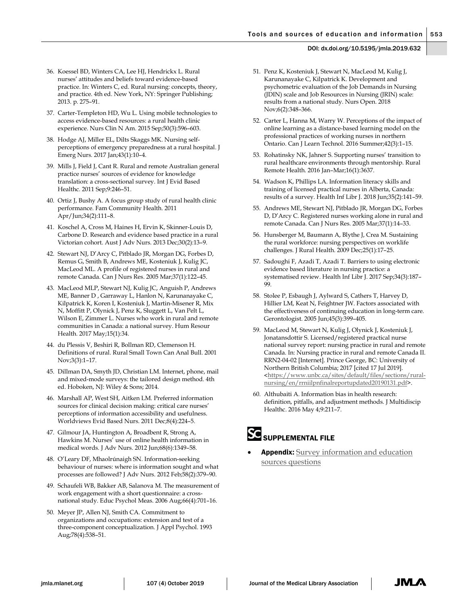- 36. Koessel BD, Winters CA, Lee HJ, Hendrickx L. Rural nurses' attitudes and beliefs toward evidence-based practice. In: Winters C, ed. Rural nursing: concepts, theory, and practice. 4th ed. New York, NY: Springer Publishing; 2013. p. 275–91.
- 37. Carter-Templeton HD, Wu L. Using mobile technologies to access evidence-based resources: a rural health clinic experience. Nurs Clin N Am. 2015 Sep;50(3):596–603.
- 38. Hodge AJ, Miller EL, Dilts Skaggs MK. Nursing selfperceptions of emergency preparedness at a rural hospital. J Emerg Nurs. 2017 Jan;43(1):10–4.
- 39. Mills J, Field J, Cant R. Rural and remote Australian general practice nurses' sources of evidence for knowledge translation: a cross-sectional survey. Int J Evid Based Healthc. 2011 Sep;9:246–51.
- 40. Ortiz J, Bushy A. A focus group study of rural health clinic performance. Fam Community Health. 2011 Apr/Jun;34(2):111–8.
- 41. Koschel A, Cross M, Haines H, Ervin K, Skinner-Louis D, Carbone D. Research and evidence based practice in a rural Victorian cohort. Aust J Adv Nurs. 2013 Dec;30(2):13–9.
- 42. Stewart NJ, D'Arcy C, Pitblado JR, Morgan DG, Forbes D, Remus G, Smith B, Andrews ME, Kosteniuk J, Kulig JC, MacLeod ML. A profile of registered nurses in rural and remote Canada. Can J Nurs Res. 2005 Mar;37(1):122–45.
- 43. MacLeod MLP, Stewart NJ, Kulig JC, Anguish P, Andrews ME, Banner D , Garraway L, Hanlon N, Karunanayake C, Kilpatrick K, Koren I, Kosteniuk J, Martin-Misener R, Mix N, Moffitt P, Olynick J, Penz K, Sluggett L, Van Pelt L, Wilson E, Zimmer L. Nurses who work in rural and remote communities in Canada: a national survey. Hum Resour Health. 2017 May;15(1):34.
- 44. du Plessis V, Beshiri R, Bollman RD, Clemenson H. Definitions of rural. Rural Small Town Can Anal Bull. 2001 Nov;3(3):1–17.
- 45. Dillman DA, Smyth JD, Christian LM. Internet, phone, mail and mixed-mode surveys: the tailored design method. 4th ed. Hoboken, NJ: Wiley & Sons; 2014.
- 46. Marshall AP, West SH, Aitken LM. Preferred information sources for clinical decision making: critical care nurses' perceptions of information accessibility and usefulness. Worldviews Evid Based Nurs. 2011 Dec;8(4):224–5.
- 47. Gilmour JA, Huntington A, Broadbent R, Strong A, Hawkins M. Nurses' use of online health information in medical words. J Adv Nurs. 2012 Jun;68(6):1349–58.
- 48. O'Leary DF, Mhaolrúnaigh SN. Information-seeking behaviour of nurses: where is information sought and what processes are followed? J Adv Nurs. 2012 Feb;58(2):379–90.
- 49. Schaufeli WB, Bakker AB, Salanova M. The measurement of work engagement with a short questionnaire: a crossnational study. Educ Psychol Meas. 2006 Aug;66(4):701–16.
- 50. Meyer JP, Allen NJ, Smith CA. Commitment to organizations and occupations: extension and test of a three-component conceptualization. J Appl Psychol. 1993 Aug;78(4):538–51.
- 51. Penz K, Kosteniuk J, Stewart N, MacLeod M, Kulig J, Karunanayake C, Kilpatrick K. Development and psychometric evaluation of the Job Demands in Nursing (JDIN) scale and Job Resources in Nursing (JRIN) scale: results from a national study. Nurs Open. 2018 Nov;6(2):348–366.
- 52. Carter L, Hanna M, Warry W. Perceptions of the impact of online learning as a distance-based learning model on the professional practices of working nurses in northern Ontario. Can J Learn Technol. 2016 Summer;42(3):1–15.
- 53. Rohatinsky NK, Jahner S. Supporting nurses' transition to rural healthcare environments through mentorship. Rural Remote Health. 2016 Jan–Mar;16(1):3637.
- 54. Wadson K, Phillips LA. Information literacy skills and training of licensed practical nurses in Alberta, Canada: results of a survey. Health Inf Libr J. 2018 Jun;35(2):141–59.
- 55. Andrews ME, Stewart NJ, Pitblado JR, Morgan DG, Forbes D, D'Arcy C. Registered nurses working alone in rural and remote Canada. Can J Nurs Res. 2005 Mar;37(1):14–33.
- 56. Hunsberger M, Baumann A, Blythe J, Crea M. Sustaining the rural workforce: nursing perspectives on worklife challenges. J Rural Health. 2009 Dec;25(1):17–25.
- 57. Sadoughi F, Azadi T, Azadi T. Barriers to using electronic evidence based literature in nursing practice: a systematised review. Health Inf Libr J. 2017 Sep;34(3):187– 99.
- 58. Stolee P, Esbaugh J, Aylward S, Cathers T, Harvey D, Hillier LM, Keat N, Feightner JW. Factors associated with the effectiveness of continuing education in long-term care. Gerontologist. 2005 Jun;45(3):399–405.
- 59. MacLeod M, Stewart N, Kulig J, Olynick J, Kosteniuk J, Jonatansdottir S. Licensed/registered practical nurse national survey report: nursing practice in rural and remote Canada. In: Nursing practice in rural and remote Canada II. RRN2-04-02 [Internet]. Prince George, BC: University of Northern British Columbia; 2017 [cited 17 Jul 2019]. <https://www.unbc.ca/sites/default/files/sections/ruralnursing/en/rrniilpnfinalreportupdated20190131.pdf>.
- 60. Althubaiti A. Information bias in health research: definition, pitfalls, and adjustment methods. J Multidiscip Healthc. 2016 May 4;9:211–7.



# SUPPLEMENTAL FILE

Appendix: Survey information and education sources questions